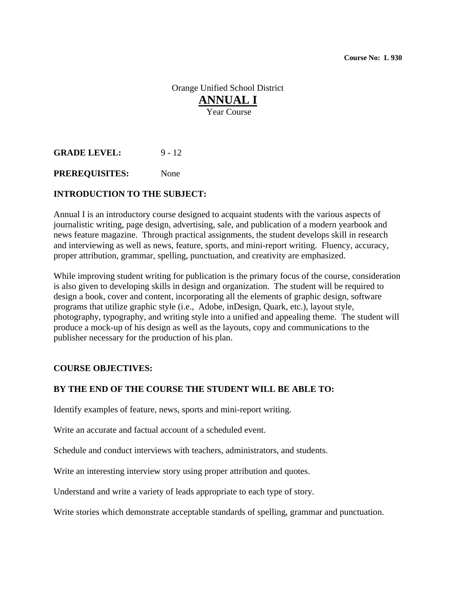Orange Unified School District **ANNUAL I** Year Course

**GRADE LEVEL:** 9 - 12

**PREREQUISITES:** None

## **INTRODUCTION TO THE SUBJECT:**

Annual I is an introductory course designed to acquaint students with the various aspects of journalistic writing, page design, advertising, sale, and publication of a modern yearbook and news feature magazine. Through practical assignments, the student develops skill in research and interviewing as well as news, feature, sports, and mini-report writing. Fluency, accuracy, proper attribution, grammar, spelling, punctuation, and creativity are emphasized.

While improving student writing for publication is the primary focus of the course, consideration is also given to developing skills in design and organization. The student will be required to design a book, cover and content, incorporating all the elements of graphic design, software programs that utilize graphic style (i.e., Adobe, inDesign, Quark, etc.), layout style, photography, typography, and writing style into a unified and appealing theme. The student will produce a mock-up of his design as well as the layouts, copy and communications to the publisher necessary for the production of his plan.

## **COURSE OBJECTIVES:**

## **BY THE END OF THE COURSE THE STUDENT WILL BE ABLE TO:**

Identify examples of feature, news, sports and mini-report writing.

Write an accurate and factual account of a scheduled event.

Schedule and conduct interviews with teachers, administrators, and students.

Write an interesting interview story using proper attribution and quotes.

Understand and write a variety of leads appropriate to each type of story.

Write stories which demonstrate acceptable standards of spelling, grammar and punctuation.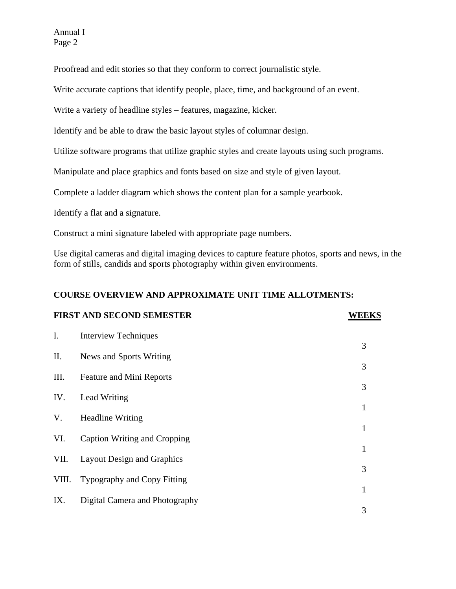Annual I Page 2

Proofread and edit stories so that they conform to correct journalistic style.

Write accurate captions that identify people, place, time, and background of an event.

Write a variety of headline styles – features, magazine, kicker.

Identify and be able to draw the basic layout styles of columnar design.

Utilize software programs that utilize graphic styles and create layouts using such programs.

Manipulate and place graphics and fonts based on size and style of given layout.

Complete a ladder diagram which shows the content plan for a sample yearbook.

Identify a flat and a signature.

Construct a mini signature labeled with appropriate page numbers.

Use digital cameras and digital imaging devices to capture feature photos, sports and news, in the form of stills, candids and sports photography within given environments.

## **COURSE OVERVIEW AND APPROXIMATE UNIT TIME ALLOTMENTS:**

| <b>FIRST AND SECOND SEMESTER</b> |                                   | <b>WEEKS</b> |
|----------------------------------|-----------------------------------|--------------|
| $\mathbf{I}$ .                   | <b>Interview Techniques</b>       |              |
| П.                               | News and Sports Writing           | 3            |
| III.                             | Feature and Mini Reports          | 3            |
| IV.                              | Lead Writing                      | 3            |
| V.                               | <b>Headline Writing</b>           | 1            |
| VI.                              |                                   | 1            |
|                                  | Caption Writing and Cropping      | $\mathbf{1}$ |
| VII.                             | <b>Layout Design and Graphics</b> | 3            |
| VIII.                            | Typography and Copy Fitting       | $\mathbf{1}$ |
| IX.                              | Digital Camera and Photography    | 3            |